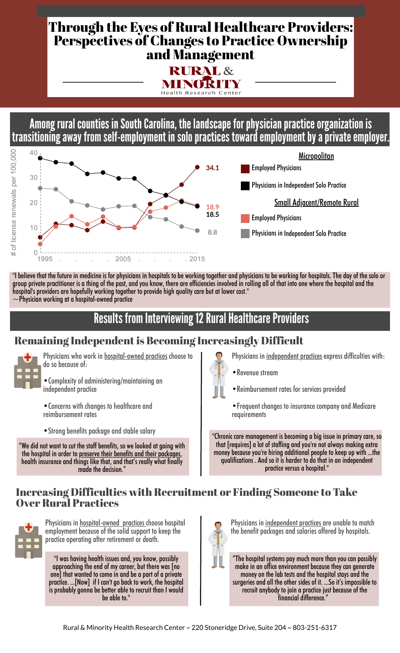# Through the Eyes of Rural Healthcare Providers: Perspectives of Changes to Practice Ownership and Management



Among rural counties in South Carolina, the landscape for physician practice organization is transitioning away from self-employment in solo practices toward employment by a private employer.



"I believe that the future in medicine is for physicians in hospitals to be working together and physicians to be working for hospitals. The day of the solo or group private practitioner is a thing of the past, and you know, there are efficiencies involved in rolling all of that into one where the hospital and the hospital's providers are hopefully working together to provide high quality care but at lower cost."  $\sim$ Physician working at a hospital-owned practice

## Results from Interviewing 12 Rural Healthcare Providers

## Remaining Independentis Becoming Increasingly Difficult



Physicians who work in **hospital-owned** practices choose to do so because of:

•Complexity of administering/maintaining an independent practice

•Concerns with changes to healthcare and reimbursement rates

•Strong benefits package and stable salary

"We did not want to cut the staff benefits, so we looked at going with the hospital in order to preserve their benefits and their packages, health insurance and things like that, and that's really what finally made the decision."

Physicians in independent practices express difficulties with:

- •Revenue stream
- •Reimbursement rates for services provided
- •Frequent changes to insurance company and Medicare requirements

"Chronic care management is becoming a big issue in primary care, so that [requires] a lot of staffing and you're not always making extra money because you're hiring additional people to keep up with ...the qualifications . And so it is harder to do that in an independent practice versus a hospital."

#### Increasing Difficulties with Recruitment or Finding Someone to Take Over Rural Practices



Physicians in hospital-owned practices choose hospital employment because of the solid support to keep the practice operating after retirement or death.

"I was having health issues and, you know, possibly approaching the end of my career, but there was [no one] that wanted to come in and be a part of a private practice. ...[Now] if I can't go back to work, the hospital is probably gonna be better able to recruit than I would be able to."



Physicians in independent practices are unable to match the benefit packages and salaries offered by hospitals.

"The hospital systems pay much more than you can possibly make in an office environment because they can generate money on the lab tests and the hospital stays and the surgeries and all the other sides of it. ...So it's impossible to recruit anybody to join a practice just because of the financial difference."